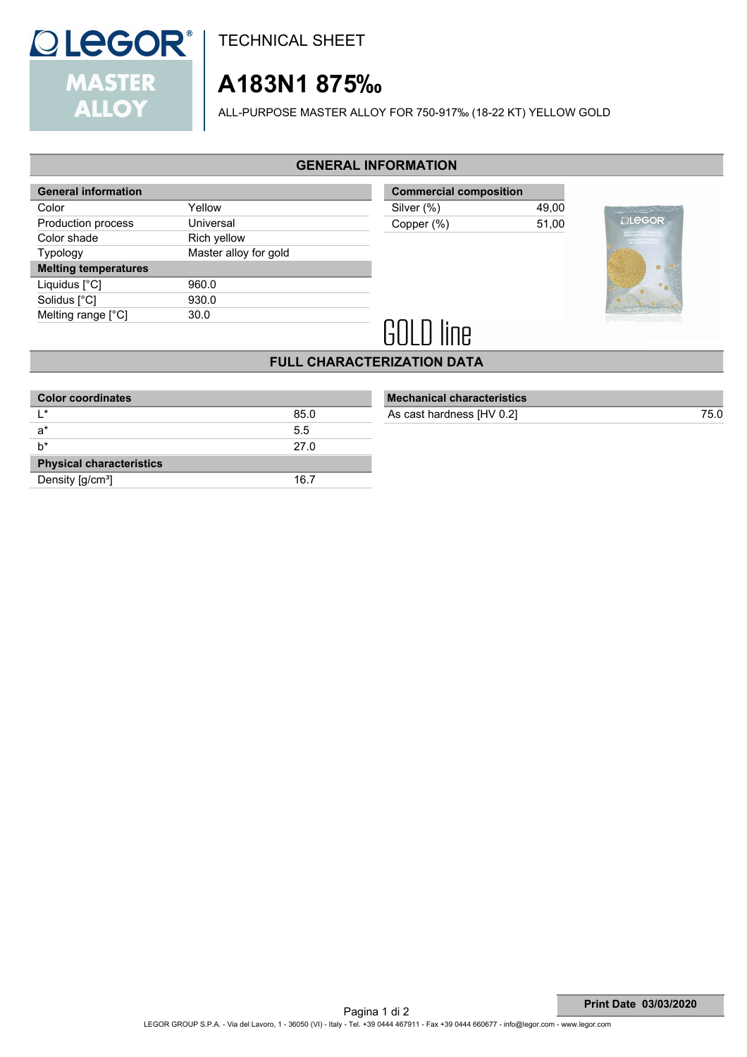

TECHNICAL SHEET

# **A183N1 875‰**

ALL-PURPOSE MASTER ALLOY FOR 750-917‰ (18-22 KT) YELLOW GOLD

# **GENERAL INFORMATION**

| <b>General information</b>  |                       |
|-----------------------------|-----------------------|
| Color                       | Yellow                |
| Production process          | Universal             |
| Color shade                 | Rich yellow           |
| <b>Typology</b>             | Master alloy for gold |
| <b>Melting temperatures</b> |                       |
| Liquidus $[^{\circ}C]$      | 960.0                 |
| Solidus [°C]                | 930.0                 |
| Melting range [°C]          | 30.0                  |
|                             |                       |

| 49.00 |
|-------|
| 51.00 |
|       |



# **GOLD line**

# **FULL CHARACTERIZATION DATA**

| <b>Color coordinates</b>        |      |
|---------------------------------|------|
| $\mathsf{I}$ *                  | 85.0 |
| $a^*$                           | 5.5  |
| h*                              | 27.0 |
| <b>Physical characteristics</b> |      |
| Density [g/cm <sup>3</sup> ]    | 16.7 |
|                                 |      |

### **Mechanical characteristics** As cast hardness [HV 0.2] 75.0